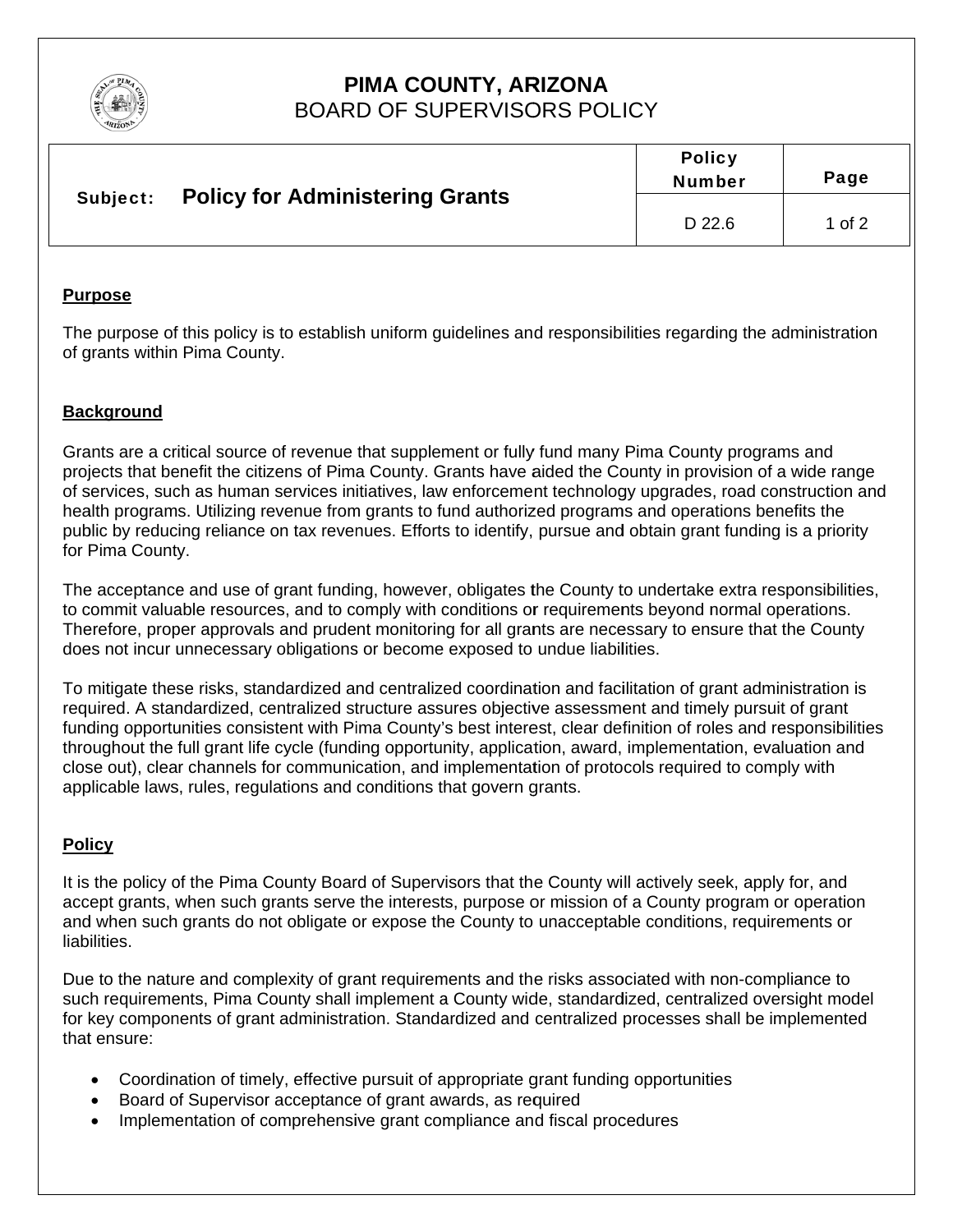

# PIMA COUNTY, ARIZONA **BOARD OF SUPERVISORS POLICY**

| Subject: | <b>Policy for Administering Grants</b> | <b>Policy</b><br><b>Number</b> | Page   |
|----------|----------------------------------------|--------------------------------|--------|
|          |                                        | D 22.6                         | 1 of 2 |

#### **Purpose**

The purpose of this policy is to establish uniform quidelines and responsibilities regarding the administration of grants within Pima County.

### **Background**

Grants are a critical source of revenue that supplement or fully fund many Pima County programs and projects that benefit the citizens of Pima County. Grants have aided the County in provision of a wide range of services, such as human services initiatives, law enforcement technology upgrades, road construction and health programs. Utilizing revenue from grants to fund authorized programs and operations benefits the public by reducing reliance on tax revenues. Efforts to identify, pursue and obtain grant funding is a priority for Pima County.

The acceptance and use of grant funding, however, obligates the County to undertake extra responsibilities, to commit valuable resources, and to comply with conditions or requirements beyond normal operations. Therefore, proper approvals and prudent monitoring for all grants are necessary to ensure that the County does not incur unnecessary obligations or become exposed to undue liabilities.

To mitigate these risks, standardized and centralized coordination and facilitation of grant administration is required. A standardized, centralized structure assures objective assessment and timely pursuit of grant funding opportunities consistent with Pima County's best interest, clear definition of roles and responsibilities throughout the full grant life cycle (funding opportunity, application, award, implementation, evaluation and close out), clear channels for communication, and implementation of protocols required to comply with applicable laws, rules, regulations and conditions that govern grants.

## **Policy**

It is the policy of the Pima County Board of Supervisors that the County will actively seek, apply for, and accept grants, when such grants serve the interests, purpose or mission of a County program or operation and when such grants do not obligate or expose the County to unacceptable conditions, requirements or liabilities.

Due to the nature and complexity of grant requirements and the risks associated with non-compliance to such requirements, Pima County shall implement a County wide, standardized, centralized oversight model for key components of grant administration. Standardized and centralized processes shall be implemented that ensure:

- Coordination of timely, effective pursuit of appropriate grant funding opportunities
- Board of Supervisor acceptance of grant awards, as required
- Implementation of comprehensive grant compliance and fiscal procedures